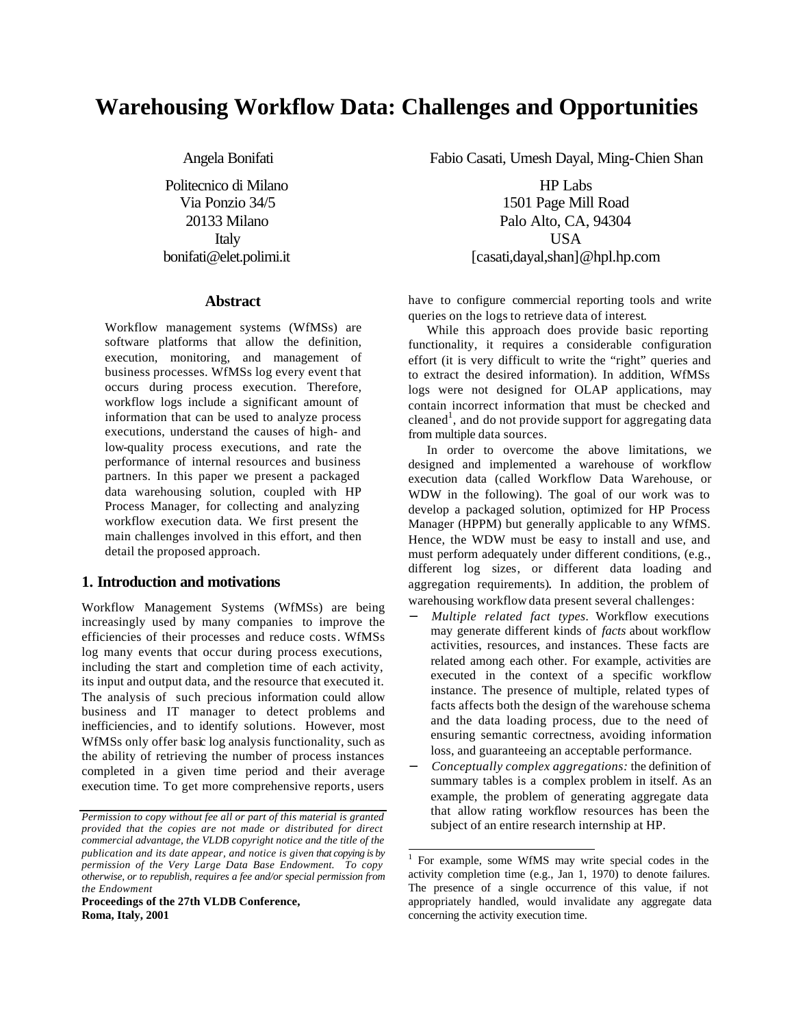# **Warehousing Workflow Data: Challenges and Opportunities**

Angela Bonifati

Politecnico di Milano Via Ponzio 34/5 20133 Milano Italy bonifati@elet.polimi.it

#### **Abstract**

Workflow management systems (WfMSs) are software platforms that allow the definition, execution, monitoring, and management of business processes. WfMSs log every event that occurs during process execution. Therefore, workflow logs include a significant amount of information that can be used to analyze process executions, understand the causes of high- and low-quality process executions, and rate the performance of internal resources and business partners. In this paper we present a packaged data warehousing solution, coupled with HP Process Manager, for collecting and analyzing workflow execution data. We first present the main challenges involved in this effort, and then detail the proposed approach.

### **1. Introduction and motivations**

Workflow Management Systems (WfMSs) are being increasingly used by many companies to improve the efficiencies of their processes and reduce costs. WfMSs log many events that occur during process executions, including the start and completion time of each activity, its input and output data, and the resource that executed it. The analysis of such precious information could allow business and IT manager to detect problems and inefficiencies, and to identify solutions. However, most WfMSs only offer basic log analysis functionality, such as the ability of retrieving the number of process instances completed in a given time period and their average execution time. To get more comprehensive reports, users

**Proceedings of the 27th VLDB Conference, Roma, Italy, 2001**

Fabio Casati, Umesh Dayal, Ming-Chien Shan

HP Labs 1501 Page Mill Road Palo Alto, CA, 94304 USA [casati,dayal,shan]@hpl.hp.com

have to configure commercial reporting tools and write queries on the logs to retrieve data of interest.

While this approach does provide basic reporting functionality, it requires a considerable configuration effort (it is very difficult to write the "right" queries and to extract the desired information). In addition, WfMSs logs were not designed for OLAP applications, may contain incorrect information that must be checked and cleaned<sup>1</sup>, and do not provide support for aggregating data from multiple data sources.

In order to overcome the above limitations, we designed and implemented a warehouse of workflow execution data (called Workflow Data Warehouse, or WDW in the following). The goal of our work was to develop a packaged solution, optimized for HP Process Manager (HPPM) but generally applicable to any WfMS. Hence, the WDW must be easy to install and use, and must perform adequately under different conditions, (e.g., different log sizes, or different data loading and aggregation requirements). In addition, the problem of warehousing workflow data present several challenges:

- − *Multiple related fact types.* Workflow executions may generate different kinds of *facts* about workflow activities, resources, and instances. These facts are related among each other. For example, activities are executed in the context of a specific workflow instance. The presence of multiple, related types of facts affects both the design of the warehouse schema and the data loading process, due to the need of ensuring semantic correctness, avoiding information loss, and guaranteeing an acceptable performance.
- − *Conceptually complex aggregations:* the definition of summary tables is a complex problem in itself. As an example, the problem of generating aggregate data that allow rating workflow resources has been the subject of an entire research internship at HP.

l

*Permission to copy without fee all or part of this material is granted provided that the copies are not made or distributed for direct commercial advantage, the VLDB copyright notice and the title of the publication and its date appear, and notice is given that copying is by permission of the Very Large Data Base Endowment. To copy otherwise, or to republish, requires a fee and/or special permission from the Endowment*

<sup>1</sup> For example, some WfMS may write special codes in the activity completion time (e.g., Jan 1, 1970) to denote failures. The presence of a single occurrence of this value, if not appropriately handled, would invalidate any aggregate data concerning the activity execution time.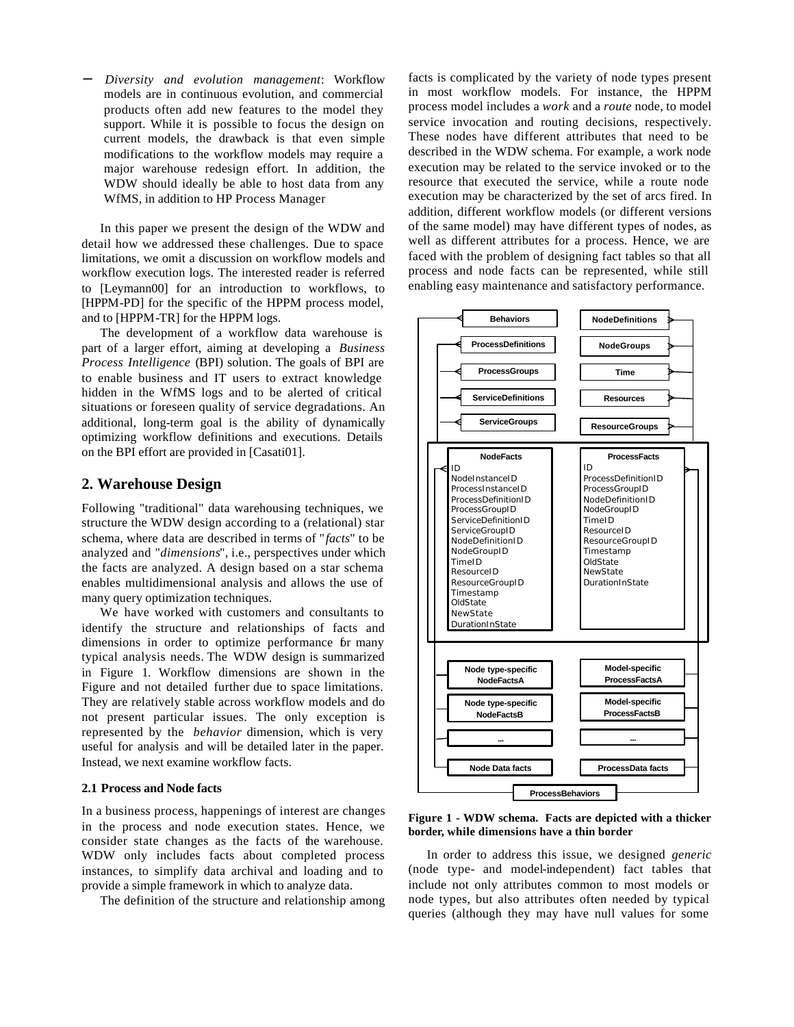− *Diversity and evolution management*: Workflow models are in continuous evolution, and commercial products often add new features to the model they support. While it is possible to focus the design on current models, the drawback is that even simple modifications to the workflow models may require a major warehouse redesign effort. In addition, the WDW should ideally be able to host data from any WfMS, in addition to HP Process Manager

In this paper we present the design of the WDW and detail how we addressed these challenges. Due to space limitations, we omit a discussion on workflow models and workflow execution logs. The interested reader is referred to [Leymann00] for an introduction to workflows, to [HPPM-PD] for the specific of the HPPM process model, and to [HPPM-TR] for the HPPM logs.

The development of a workflow data warehouse is part of a larger effort, aiming at developing a *Business Process Intelligence* (BPI) solution. The goals of BPI are to enable business and IT users to extract knowledge hidden in the WfMS logs and to be alerted of critical situations or foreseen quality of service degradations. An additional, long-term goal is the ability of dynamically optimizing workflow definitions and executions. Details on the BPI effort are provided in [Casati01].

# **2. Warehouse Design**

Following "traditional" data warehousing techniques, we structure the WDW design according to a (relational) star schema, where data are described in terms of "*facts*" to be analyzed and "*dimensions*", i.e., perspectives under which the facts are analyzed. A design based on a star schema enables multidimensional analysis and allows the use of many query optimization techniques.

We have worked with customers and consultants to identify the structure and relationships of facts and dimensions in order to optimize performance for many typical analysis needs. The WDW design is summarized in Figure 1. Workflow dimensions are shown in the Figure and not detailed further due to space limitations. They are relatively stable across workflow models and do not present particular issues. The only exception is represented by the *behavior* dimension, which is very useful for analysis and will be detailed later in the paper. Instead, we next examine workflow facts.

#### **2.1 Process and Node facts**

In a business process, happenings of interest are changes in the process and node execution states. Hence, we consider state changes as the facts of the warehouse. WDW only includes facts about completed process instances, to simplify data archival and loading and to provide a simple framework in which to analyze data.

The definition of the structure and relationship among

facts is complicated by the variety of node types present in most workflow models. For instance, the HPPM process model includes a *work* and a *route* node, to model service invocation and routing decisions, respectively. These nodes have different attributes that need to be described in the WDW schema. For example, a work node execution may be related to the service invoked or to the resource that executed the service, while a route node execution may be characterized by the set of arcs fired. In addition, different workflow models (or different versions of the same model) may have different types of nodes, as well as different attributes for a process. Hence, we are faced with the problem of designing fact tables so that all process and node facts can be represented, while still enabling easy maintenance and satisfactory performance.



**Figure 1 - WDW schema. Facts are depicted with a thicker border, while dimensions have a thin border**

In order to address this issue, we designed *generic* (node type- and model-independent) fact tables that include not only attributes common to most models or node types, but also attributes often needed by typical queries (although they may have null values for some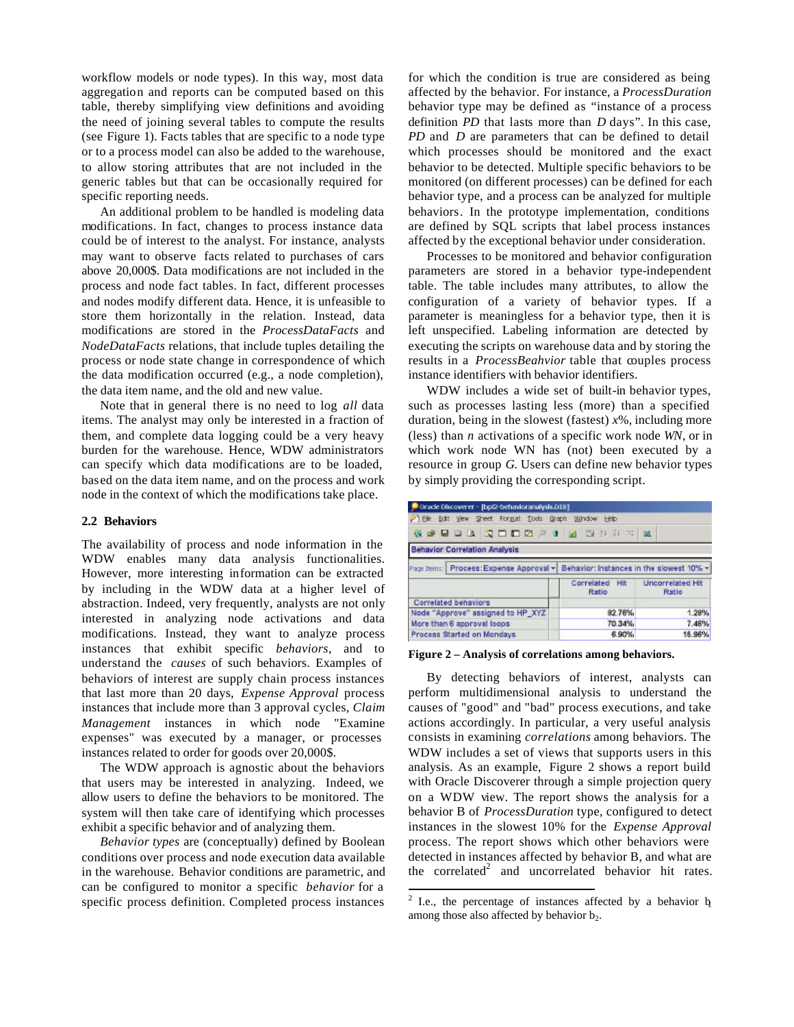workflow models or node types). In this way, most data aggregation and reports can be computed based on this table, thereby simplifying view definitions and avoiding the need of joining several tables to compute the results (see Figure 1). Facts tables that are specific to a node type or to a process model can also be added to the warehouse, to allow storing attributes that are not included in the generic tables but that can be occasionally required for specific reporting needs.

An additional problem to be handled is modeling data modifications. In fact, changes to process instance data could be of interest to the analyst. For instance, analysts may want to observe facts related to purchases of cars above 20,000\$. Data modifications are not included in the process and node fact tables. In fact, different processes and nodes modify different data. Hence, it is unfeasible to store them horizontally in the relation. Instead, data modifications are stored in the *ProcessDataFacts* and *NodeDataFacts* relations, that include tuples detailing the process or node state change in correspondence of which the data modification occurred (e.g., a node completion), the data item name, and the old and new value.

Note that in general there is no need to log *all* data items. The analyst may only be interested in a fraction of them, and complete data logging could be a very heavy burden for the warehouse. Hence, WDW administrators can specify which data modifications are to be loaded, based on the data item name, and on the process and work node in the context of which the modifications take place.

#### **2.2 Behaviors**

The availability of process and node information in the WDW enables many data analysis functionalities. However, more interesting information can be extracted by including in the WDW data at a higher level of abstraction. Indeed, very frequently, analysts are not only interested in analyzing node activations and data modifications. Instead, they want to analyze process instances that exhibit specific *behaviors*, and to understand the *causes* of such behaviors. Examples of behaviors of interest are supply chain process instances that last more than 20 days, *Expense Approval* process instances that include more than 3 approval cycles, *Claim Management* instances in which node "Examine expenses" was executed by a manager, or processes instances related to order for goods over 20,000\$.

The WDW approach is agnostic about the behaviors that users may be interested in analyzing. Indeed, we allow users to define the behaviors to be monitored. The system will then take care of identifying which processes exhibit a specific behavior and of analyzing them.

*Behavior types* are (conceptually) defined by Boolean conditions over process and node execution data available in the warehouse. Behavior conditions are parametric, and can be configured to monitor a specific *behavior* for a specific process definition. Completed process instances for which the condition is true are considered as being affected by the behavior. For instance, a *ProcessDuration* behavior type may be defined as "instance of a process definition *PD* that lasts more than *D* days". In this case, *PD* and *D* are parameters that can be defined to detail which processes should be monitored and the exact behavior to be detected. Multiple specific behaviors to be monitored (on different processes) can be defined for each behavior type, and a process can be analyzed for multiple behaviors. In the prototype implementation, conditions are defined by SQL scripts that label process instances affected by the exceptional behavior under consideration.

Processes to be monitored and behavior configuration parameters are stored in a behavior type-independent table. The table includes many attributes, to allow the configuration of a variety of behavior types. If a parameter is meaningless for a behavior type, then it is left unspecified. Labeling information are detected by executing the scripts on warehouse data and by storing the results in a *ProcessBeahvior* table that couples process instance identifiers with behavior identifiers.

WDW includes a wide set of built-in behavior types, such as processes lasting less (more) than a specified duration, being in the slowest (fastest) *x*%, including more (less) than *n* activations of a specific work node *WN*, or in which work node WN has (not) been executed by a resource in group *G*. Users can define new behavior types by simply providing the corresponding script.

| Oracle Discoverer - [bp/2-behavioranalysis.D18]                                  |                         |                                         |
|----------------------------------------------------------------------------------|-------------------------|-----------------------------------------|
| P Ele Edit View Sheet Format Tools Graph Window Help                             |                         |                                         |
| <b>NO HUANDDZ RIA SHAT X</b>                                                     |                         |                                         |
| <b>Behavior Correlation Analysis</b>                                             |                         |                                         |
| Page Items: Process: Expense Approval + Behavior: Instances in the slowest 10% + |                         |                                         |
|                                                                                  | Correlated Hit<br>Ratio | <b>Uncorrelated Hit</b><br><b>Ratio</b> |
| <b>Correlated behaviors</b>                                                      |                         |                                         |
| Node "Approve" assigned to HP_XYZ                                                | 82.76%                  | 1.28%                                   |
| More than 6 approval loops                                                       | 70.34%                  | 7.46%                                   |
| Process Started on Mondays                                                       | 6.90%                   | 16.96%                                  |

**Figure 2 – Analysis of correlations among behaviors.** 

By detecting behaviors of interest, analysts can perform multidimensional analysis to understand the causes of "good" and "bad" process executions, and take actions accordingly. In particular, a very useful analysis consists in examining *correlations* among behaviors. The WDW includes a set of views that supports users in this analysis. As an example, Figure 2 shows a report build with Oracle Discoverer through a simple projection query on a WDW view. The report shows the analysis for a behavior B of *ProcessDuration* type, configured to detect instances in the slowest 10% for the *Expense Approval* process. The report shows which other behaviors were detected in instances affected by behavior B, and what are the correlated<sup>2</sup> and uncorrelated behavior hit rates.

l

 $2$  I.e., the percentage of instances affected by a behavior  $b$ among those also affected by behavior  $b_2$ .